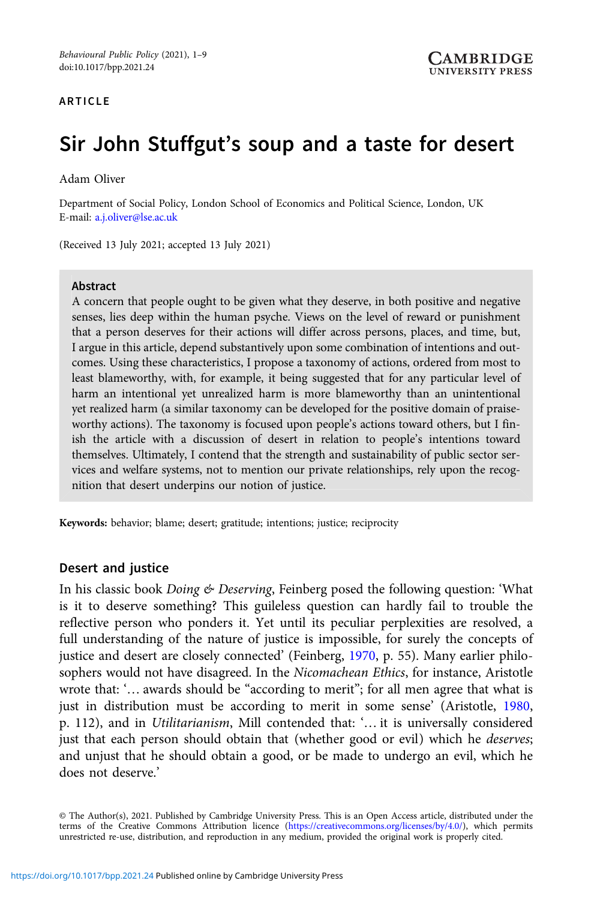#### ARTICLE

# Sir John Stuffgut's soup and a taste for desert

#### Adam Oliver

Department of Social Policy, London School of Economics and Political Science, London, UK E-mail: [a.j.oliver@lse.ac.uk](mailto:a.j.oliver@lse.ac.uk)

(Received 13 July 2021; accepted 13 July 2021)

#### Abstract

A concern that people ought to be given what they deserve, in both positive and negative senses, lies deep within the human psyche. Views on the level of reward or punishment that a person deserves for their actions will differ across persons, places, and time, but, I argue in this article, depend substantively upon some combination of intentions and outcomes. Using these characteristics, I propose a taxonomy of actions, ordered from most to least blameworthy, with, for example, it being suggested that for any particular level of harm an intentional yet unrealized harm is more blameworthy than an unintentional yet realized harm (a similar taxonomy can be developed for the positive domain of praiseworthy actions). The taxonomy is focused upon people's actions toward others, but I finish the article with a discussion of desert in relation to people's intentions toward themselves. Ultimately, I contend that the strength and sustainability of public sector services and welfare systems, not to mention our private relationships, rely upon the recognition that desert underpins our notion of justice.

Keywords: behavior; blame; desert; gratitude; intentions; justice; reciprocity

## Desert and justice

In his classic book Doing & Deserving, Feinberg posed the following question: 'What is it to deserve something? This guileless question can hardly fail to trouble the reflective person who ponders it. Yet until its peculiar perplexities are resolved, a full understanding of the nature of justice is impossible, for surely the concepts of justice and desert are closely connected' (Feinberg, [1970,](#page-8-0) p. 55). Many earlier philosophers would not have disagreed. In the *Nicomachean Ethics*, for instance, Aristotle wrote that: '… awards should be "according to merit"; for all men agree that what is just in distribution must be according to merit in some sense' (Aristotle, [1980](#page-8-0), p. 112), and in Utilitarianism, Mill contended that: '… it is universally considered just that each person should obtain that (whether good or evil) which he *deserves*; and unjust that he should obtain a good, or be made to undergo an evil, which he does not deserve.'

© The Author(s), 2021. Published by Cambridge University Press. This is an Open Access article, distributed under the terms of the Creative Commons Attribution licence [\(https://creativecommons.org/licenses/by/4.0/](https://creativecommons.org/licenses/by/4.0/)), which permits unrestricted re-use, distribution, and reproduction in any medium, provided the original work is properly cited.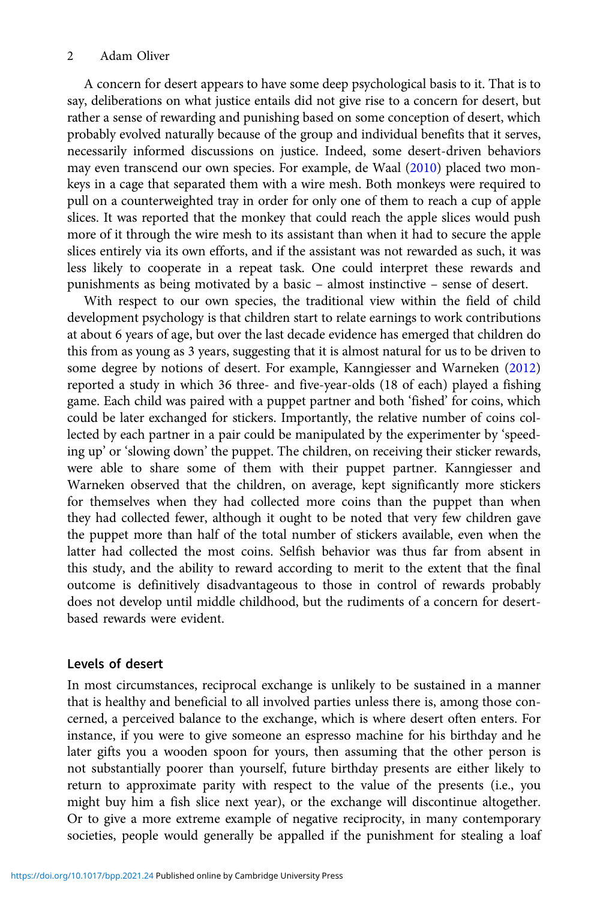## 2 Adam Oliver

A concern for desert appears to have some deep psychological basis to it. That is to say, deliberations on what justice entails did not give rise to a concern for desert, but rather a sense of rewarding and punishing based on some conception of desert, which probably evolved naturally because of the group and individual benefits that it serves, necessarily informed discussions on justice. Indeed, some desert-driven behaviors may even transcend our own species. For example, de Waal [\(2010\)](#page-8-0) placed two monkeys in a cage that separated them with a wire mesh. Both monkeys were required to pull on a counterweighted tray in order for only one of them to reach a cup of apple slices. It was reported that the monkey that could reach the apple slices would push more of it through the wire mesh to its assistant than when it had to secure the apple slices entirely via its own efforts, and if the assistant was not rewarded as such, it was less likely to cooperate in a repeat task. One could interpret these rewards and punishments as being motivated by a basic – almost instinctive – sense of desert.

With respect to our own species, the traditional view within the field of child development psychology is that children start to relate earnings to work contributions at about 6 years of age, but over the last decade evidence has emerged that children do this from as young as 3 years, suggesting that it is almost natural for us to be driven to some degree by notions of desert. For example, Kanngiesser and Warneken ([2012\)](#page-8-0) reported a study in which 36 three- and five-year-olds (18 of each) played a fishing game. Each child was paired with a puppet partner and both 'fished' for coins, which could be later exchanged for stickers. Importantly, the relative number of coins collected by each partner in a pair could be manipulated by the experimenter by 'speeding up' or 'slowing down' the puppet. The children, on receiving their sticker rewards, were able to share some of them with their puppet partner. Kanngiesser and Warneken observed that the children, on average, kept significantly more stickers for themselves when they had collected more coins than the puppet than when they had collected fewer, although it ought to be noted that very few children gave the puppet more than half of the total number of stickers available, even when the latter had collected the most coins. Selfish behavior was thus far from absent in this study, and the ability to reward according to merit to the extent that the final outcome is definitively disadvantageous to those in control of rewards probably does not develop until middle childhood, but the rudiments of a concern for desertbased rewards were evident.

## Levels of desert

In most circumstances, reciprocal exchange is unlikely to be sustained in a manner that is healthy and beneficial to all involved parties unless there is, among those concerned, a perceived balance to the exchange, which is where desert often enters. For instance, if you were to give someone an espresso machine for his birthday and he later gifts you a wooden spoon for yours, then assuming that the other person is not substantially poorer than yourself, future birthday presents are either likely to return to approximate parity with respect to the value of the presents (i.e., you might buy him a fish slice next year), or the exchange will discontinue altogether. Or to give a more extreme example of negative reciprocity, in many contemporary societies, people would generally be appalled if the punishment for stealing a loaf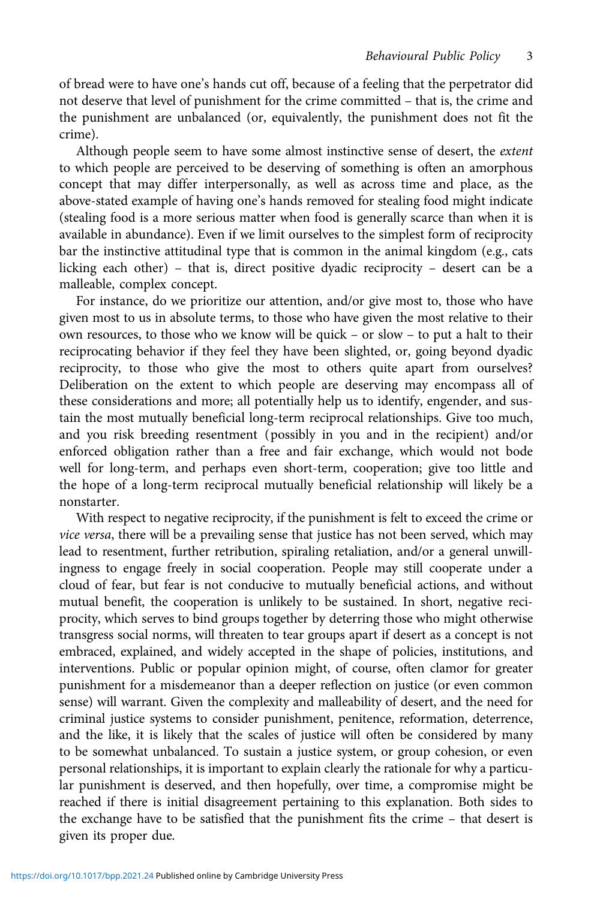of bread were to have one's hands cut off, because of a feeling that the perpetrator did not deserve that level of punishment for the crime committed – that is, the crime and the punishment are unbalanced (or, equivalently, the punishment does not fit the crime).

Although people seem to have some almost instinctive sense of desert, the extent to which people are perceived to be deserving of something is often an amorphous concept that may differ interpersonally, as well as across time and place, as the above-stated example of having one's hands removed for stealing food might indicate (stealing food is a more serious matter when food is generally scarce than when it is available in abundance). Even if we limit ourselves to the simplest form of reciprocity bar the instinctive attitudinal type that is common in the animal kingdom (e.g., cats licking each other) – that is, direct positive dyadic reciprocity – desert can be a malleable, complex concept.

For instance, do we prioritize our attention, and/or give most to, those who have given most to us in absolute terms, to those who have given the most relative to their own resources, to those who we know will be quick – or slow – to put a halt to their reciprocating behavior if they feel they have been slighted, or, going beyond dyadic reciprocity, to those who give the most to others quite apart from ourselves? Deliberation on the extent to which people are deserving may encompass all of these considerations and more; all potentially help us to identify, engender, and sustain the most mutually beneficial long-term reciprocal relationships. Give too much, and you risk breeding resentment (possibly in you and in the recipient) and/or enforced obligation rather than a free and fair exchange, which would not bode well for long-term, and perhaps even short-term, cooperation; give too little and the hope of a long-term reciprocal mutually beneficial relationship will likely be a nonstarter.

With respect to negative reciprocity, if the punishment is felt to exceed the crime or vice versa, there will be a prevailing sense that justice has not been served, which may lead to resentment, further retribution, spiraling retaliation, and/or a general unwillingness to engage freely in social cooperation. People may still cooperate under a cloud of fear, but fear is not conducive to mutually beneficial actions, and without mutual benefit, the cooperation is unlikely to be sustained. In short, negative reciprocity, which serves to bind groups together by deterring those who might otherwise transgress social norms, will threaten to tear groups apart if desert as a concept is not embraced, explained, and widely accepted in the shape of policies, institutions, and interventions. Public or popular opinion might, of course, often clamor for greater punishment for a misdemeanor than a deeper reflection on justice (or even common sense) will warrant. Given the complexity and malleability of desert, and the need for criminal justice systems to consider punishment, penitence, reformation, deterrence, and the like, it is likely that the scales of justice will often be considered by many to be somewhat unbalanced. To sustain a justice system, or group cohesion, or even personal relationships, it is important to explain clearly the rationale for why a particular punishment is deserved, and then hopefully, over time, a compromise might be reached if there is initial disagreement pertaining to this explanation. Both sides to the exchange have to be satisfied that the punishment fits the crime – that desert is given its proper due.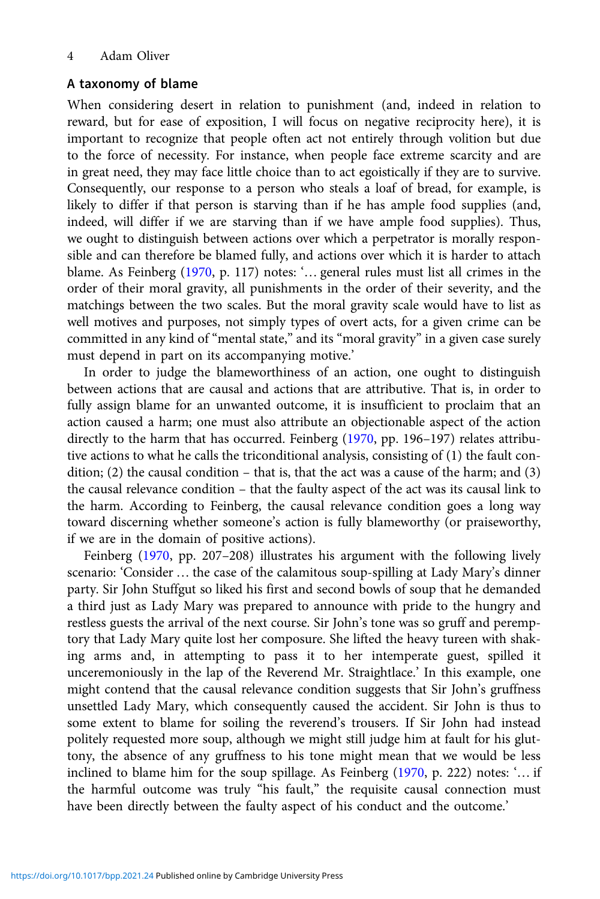## A taxonomy of blame

When considering desert in relation to punishment (and, indeed in relation to reward, but for ease of exposition, I will focus on negative reciprocity here), it is important to recognize that people often act not entirely through volition but due to the force of necessity. For instance, when people face extreme scarcity and are in great need, they may face little choice than to act egoistically if they are to survive. Consequently, our response to a person who steals a loaf of bread, for example, is likely to differ if that person is starving than if he has ample food supplies (and, indeed, will differ if we are starving than if we have ample food supplies). Thus, we ought to distinguish between actions over which a perpetrator is morally responsible and can therefore be blamed fully, and actions over which it is harder to attach blame. As Feinberg ([1970](#page-8-0), p. 117) notes: '… general rules must list all crimes in the order of their moral gravity, all punishments in the order of their severity, and the matchings between the two scales. But the moral gravity scale would have to list as well motives and purposes, not simply types of overt acts, for a given crime can be committed in any kind of "mental state," and its "moral gravity" in a given case surely must depend in part on its accompanying motive.'

In order to judge the blameworthiness of an action, one ought to distinguish between actions that are causal and actions that are attributive. That is, in order to fully assign blame for an unwanted outcome, it is insufficient to proclaim that an action caused a harm; one must also attribute an objectionable aspect of the action directly to the harm that has occurred. Feinberg [\(1970](#page-8-0), pp. 196–197) relates attributive actions to what he calls the triconditional analysis, consisting of (1) the fault condition; (2) the causal condition – that is, that the act was a cause of the harm; and (3) the causal relevance condition – that the faulty aspect of the act was its causal link to the harm. According to Feinberg, the causal relevance condition goes a long way toward discerning whether someone's action is fully blameworthy (or praiseworthy, if we are in the domain of positive actions).

Feinberg ([1970,](#page-8-0) pp. 207–208) illustrates his argument with the following lively scenario: 'Consider … the case of the calamitous soup-spilling at Lady Mary's dinner party. Sir John Stuffgut so liked his first and second bowls of soup that he demanded a third just as Lady Mary was prepared to announce with pride to the hungry and restless guests the arrival of the next course. Sir John's tone was so gruff and peremptory that Lady Mary quite lost her composure. She lifted the heavy tureen with shaking arms and, in attempting to pass it to her intemperate guest, spilled it unceremoniously in the lap of the Reverend Mr. Straightlace.' In this example, one might contend that the causal relevance condition suggests that Sir John's gruffness unsettled Lady Mary, which consequently caused the accident. Sir John is thus to some extent to blame for soiling the reverend's trousers. If Sir John had instead politely requested more soup, although we might still judge him at fault for his gluttony, the absence of any gruffness to his tone might mean that we would be less inclined to blame him for the soup spillage. As Feinberg ([1970,](#page-8-0) p. 222) notes: '… if the harmful outcome was truly "his fault," the requisite causal connection must have been directly between the faulty aspect of his conduct and the outcome.'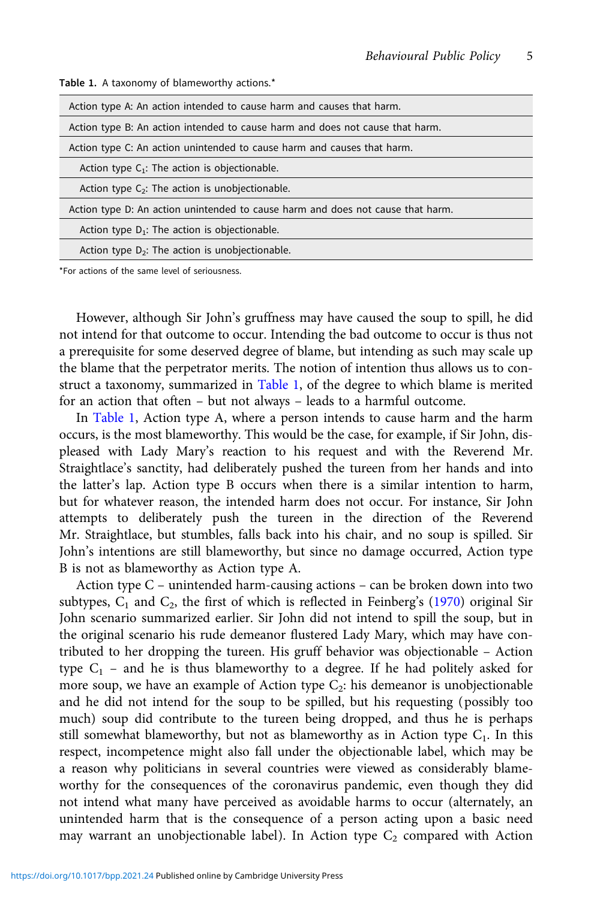| Action type A: An action intended to cause harm and causes that harm.           |
|---------------------------------------------------------------------------------|
| Action type B: An action intended to cause harm and does not cause that harm.   |
| Action type C: An action unintended to cause harm and causes that harm.         |
| Action type $C_1$ : The action is objectionable.                                |
| Action type $C_2$ : The action is unobjectionable.                              |
| Action type D: An action unintended to cause harm and does not cause that harm. |
| Action type $D_1$ : The action is objectionable.                                |
| Action type $D_2$ : The action is unobjectionable.                              |
|                                                                                 |

Table 1. A taxonomy of blameworthy actions.\*

\*For actions of the same level of seriousness.

However, although Sir John's gruffness may have caused the soup to spill, he did not intend for that outcome to occur. Intending the bad outcome to occur is thus not a prerequisite for some deserved degree of blame, but intending as such may scale up the blame that the perpetrator merits. The notion of intention thus allows us to construct a taxonomy, summarized in Table 1, of the degree to which blame is merited for an action that often – but not always – leads to a harmful outcome.

In Table 1, Action type A, where a person intends to cause harm and the harm occurs, is the most blameworthy. This would be the case, for example, if Sir John, displeased with Lady Mary's reaction to his request and with the Reverend Mr. Straightlace's sanctity, had deliberately pushed the tureen from her hands and into the latter's lap. Action type B occurs when there is a similar intention to harm, but for whatever reason, the intended harm does not occur. For instance, Sir John attempts to deliberately push the tureen in the direction of the Reverend Mr. Straightlace, but stumbles, falls back into his chair, and no soup is spilled. Sir John's intentions are still blameworthy, but since no damage occurred, Action type B is not as blameworthy as Action type A.

Action type C – unintended harm-causing actions – can be broken down into two subtypes,  $C_1$  and  $C_2$ , the first of which is reflected in Feinberg's [\(1970](#page-8-0)) original Sir John scenario summarized earlier. Sir John did not intend to spill the soup, but in the original scenario his rude demeanor flustered Lady Mary, which may have contributed to her dropping the tureen. His gruff behavior was objectionable – Action type  $C_1$  – and he is thus blameworthy to a degree. If he had politely asked for more soup, we have an example of Action type  $C_2$ : his demeanor is unobjectionable and he did not intend for the soup to be spilled, but his requesting (possibly too much) soup did contribute to the tureen being dropped, and thus he is perhaps still somewhat blameworthy, but not as blameworthy as in Action type  $C_1$ . In this respect, incompetence might also fall under the objectionable label, which may be a reason why politicians in several countries were viewed as considerably blameworthy for the consequences of the coronavirus pandemic, even though they did not intend what many have perceived as avoidable harms to occur (alternately, an unintended harm that is the consequence of a person acting upon a basic need may warrant an unobjectionable label). In Action type  $C_2$  compared with Action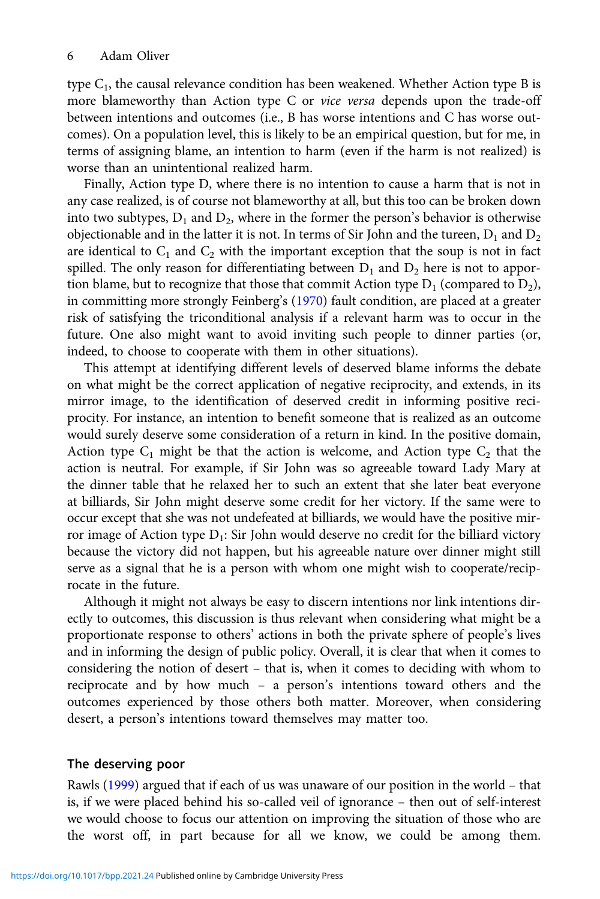type  $C_1$ , the causal relevance condition has been weakened. Whether Action type B is more blameworthy than Action type C or vice versa depends upon the trade-off between intentions and outcomes (i.e., B has worse intentions and C has worse outcomes). On a population level, this is likely to be an empirical question, but for me, in terms of assigning blame, an intention to harm (even if the harm is not realized) is worse than an unintentional realized harm.

Finally, Action type D, where there is no intention to cause a harm that is not in any case realized, is of course not blameworthy at all, but this too can be broken down into two subtypes,  $D_1$  and  $D_2$ , where in the former the person's behavior is otherwise objectionable and in the latter it is not. In terms of Sir John and the tureen,  $D_1$  and  $D_2$ are identical to  $C_1$  and  $C_2$  with the important exception that the soup is not in fact spilled. The only reason for differentiating between  $D_1$  and  $D_2$  here is not to apportion blame, but to recognize that those that commit Action type  $D_1$  (compared to  $D_2$ ), in committing more strongly Feinberg's ([1970\)](#page-8-0) fault condition, are placed at a greater risk of satisfying the triconditional analysis if a relevant harm was to occur in the future. One also might want to avoid inviting such people to dinner parties (or, indeed, to choose to cooperate with them in other situations).

This attempt at identifying different levels of deserved blame informs the debate on what might be the correct application of negative reciprocity, and extends, in its mirror image, to the identification of deserved credit in informing positive reciprocity. For instance, an intention to benefit someone that is realized as an outcome would surely deserve some consideration of a return in kind. In the positive domain, Action type  $C_1$  might be that the action is welcome, and Action type  $C_2$  that the action is neutral. For example, if Sir John was so agreeable toward Lady Mary at the dinner table that he relaxed her to such an extent that she later beat everyone at billiards, Sir John might deserve some credit for her victory. If the same were to occur except that she was not undefeated at billiards, we would have the positive mirror image of Action type  $D_1$ : Sir John would deserve no credit for the billiard victory because the victory did not happen, but his agreeable nature over dinner might still serve as a signal that he is a person with whom one might wish to cooperate/reciprocate in the future.

Although it might not always be easy to discern intentions nor link intentions directly to outcomes, this discussion is thus relevant when considering what might be a proportionate response to others' actions in both the private sphere of people's lives and in informing the design of public policy. Overall, it is clear that when it comes to considering the notion of desert – that is, when it comes to deciding with whom to reciprocate and by how much – a person's intentions toward others and the outcomes experienced by those others both matter. Moreover, when considering desert, a person's intentions toward themselves may matter too.

## The deserving poor

Rawls [\(1999](#page-8-0)) argued that if each of us was unaware of our position in the world – that is, if we were placed behind his so-called veil of ignorance – then out of self-interest we would choose to focus our attention on improving the situation of those who are the worst off, in part because for all we know, we could be among them.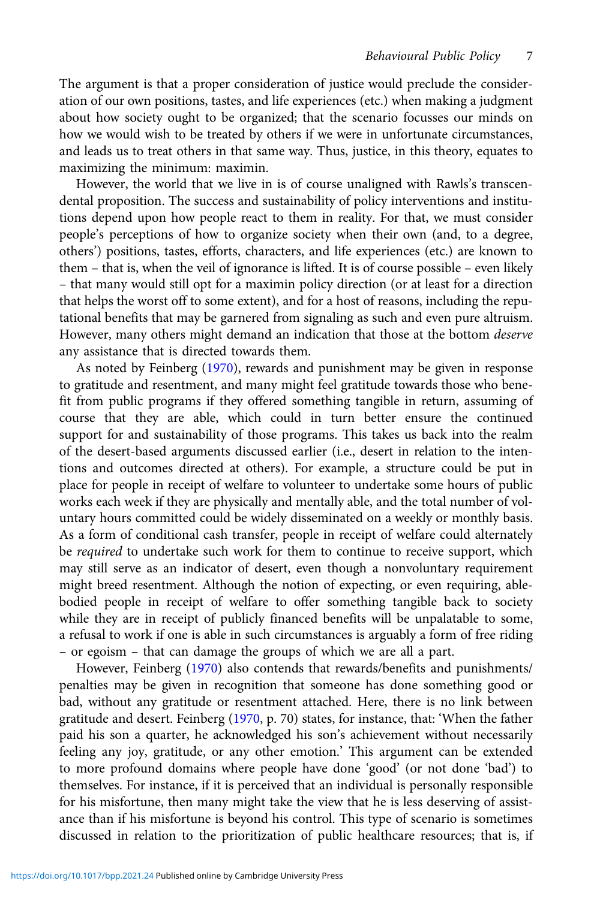The argument is that a proper consideration of justice would preclude the consideration of our own positions, tastes, and life experiences (etc.) when making a judgment about how society ought to be organized; that the scenario focusses our minds on how we would wish to be treated by others if we were in unfortunate circumstances, and leads us to treat others in that same way. Thus, justice, in this theory, equates to maximizing the minimum: maximin.

However, the world that we live in is of course unaligned with Rawls's transcendental proposition. The success and sustainability of policy interventions and institutions depend upon how people react to them in reality. For that, we must consider people's perceptions of how to organize society when their own (and, to a degree, others') positions, tastes, efforts, characters, and life experiences (etc.) are known to them – that is, when the veil of ignorance is lifted. It is of course possible – even likely – that many would still opt for a maximin policy direction (or at least for a direction that helps the worst off to some extent), and for a host of reasons, including the reputational benefits that may be garnered from signaling as such and even pure altruism. However, many others might demand an indication that those at the bottom deserve any assistance that is directed towards them.

As noted by Feinberg [\(1970](#page-8-0)), rewards and punishment may be given in response to gratitude and resentment, and many might feel gratitude towards those who benefit from public programs if they offered something tangible in return, assuming of course that they are able, which could in turn better ensure the continued support for and sustainability of those programs. This takes us back into the realm of the desert-based arguments discussed earlier (i.e., desert in relation to the intentions and outcomes directed at others). For example, a structure could be put in place for people in receipt of welfare to volunteer to undertake some hours of public works each week if they are physically and mentally able, and the total number of voluntary hours committed could be widely disseminated on a weekly or monthly basis. As a form of conditional cash transfer, people in receipt of welfare could alternately be required to undertake such work for them to continue to receive support, which may still serve as an indicator of desert, even though a nonvoluntary requirement might breed resentment. Although the notion of expecting, or even requiring, ablebodied people in receipt of welfare to offer something tangible back to society while they are in receipt of publicly financed benefits will be unpalatable to some, a refusal to work if one is able in such circumstances is arguably a form of free riding – or egoism – that can damage the groups of which we are all a part.

However, Feinberg [\(1970](#page-8-0)) also contends that rewards/benefits and punishments/ penalties may be given in recognition that someone has done something good or bad, without any gratitude or resentment attached. Here, there is no link between gratitude and desert. Feinberg [\(1970,](#page-8-0) p. 70) states, for instance, that: 'When the father paid his son a quarter, he acknowledged his son's achievement without necessarily feeling any joy, gratitude, or any other emotion.' This argument can be extended to more profound domains where people have done 'good' (or not done 'bad') to themselves. For instance, if it is perceived that an individual is personally responsible for his misfortune, then many might take the view that he is less deserving of assistance than if his misfortune is beyond his control. This type of scenario is sometimes discussed in relation to the prioritization of public healthcare resources; that is, if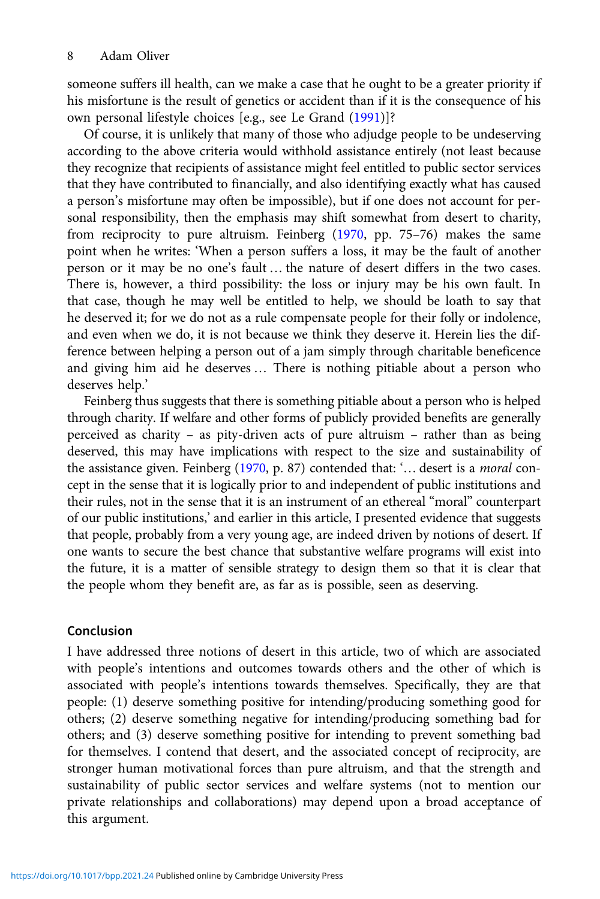someone suffers ill health, can we make a case that he ought to be a greater priority if his misfortune is the result of genetics or accident than if it is the consequence of his own personal lifestyle choices [e.g., see Le Grand [\(1991](#page-8-0))]?

Of course, it is unlikely that many of those who adjudge people to be undeserving according to the above criteria would withhold assistance entirely (not least because they recognize that recipients of assistance might feel entitled to public sector services that they have contributed to financially, and also identifying exactly what has caused a person's misfortune may often be impossible), but if one does not account for personal responsibility, then the emphasis may shift somewhat from desert to charity, from reciprocity to pure altruism. Feinberg ([1970](#page-8-0), pp. 75–76) makes the same point when he writes: 'When a person suffers a loss, it may be the fault of another person or it may be no one's fault … the nature of desert differs in the two cases. There is, however, a third possibility: the loss or injury may be his own fault. In that case, though he may well be entitled to help, we should be loath to say that he deserved it; for we do not as a rule compensate people for their folly or indolence, and even when we do, it is not because we think they deserve it. Herein lies the difference between helping a person out of a jam simply through charitable beneficence and giving him aid he deserves … There is nothing pitiable about a person who deserves help.'

Feinberg thus suggests that there is something pitiable about a person who is helped through charity. If welfare and other forms of publicly provided benefits are generally perceived as charity – as pity-driven acts of pure altruism – rather than as being deserved, this may have implications with respect to the size and sustainability of the assistance given. Feinberg ([1970,](#page-8-0) p. 87) contended that: '… desert is a moral concept in the sense that it is logically prior to and independent of public institutions and their rules, not in the sense that it is an instrument of an ethereal "moral" counterpart of our public institutions,' and earlier in this article, I presented evidence that suggests that people, probably from a very young age, are indeed driven by notions of desert. If one wants to secure the best chance that substantive welfare programs will exist into the future, it is a matter of sensible strategy to design them so that it is clear that the people whom they benefit are, as far as is possible, seen as deserving.

# Conclusion

I have addressed three notions of desert in this article, two of which are associated with people's intentions and outcomes towards others and the other of which is associated with people's intentions towards themselves. Specifically, they are that people: (1) deserve something positive for intending/producing something good for others; (2) deserve something negative for intending/producing something bad for others; and (3) deserve something positive for intending to prevent something bad for themselves. I contend that desert, and the associated concept of reciprocity, are stronger human motivational forces than pure altruism, and that the strength and sustainability of public sector services and welfare systems (not to mention our private relationships and collaborations) may depend upon a broad acceptance of this argument.